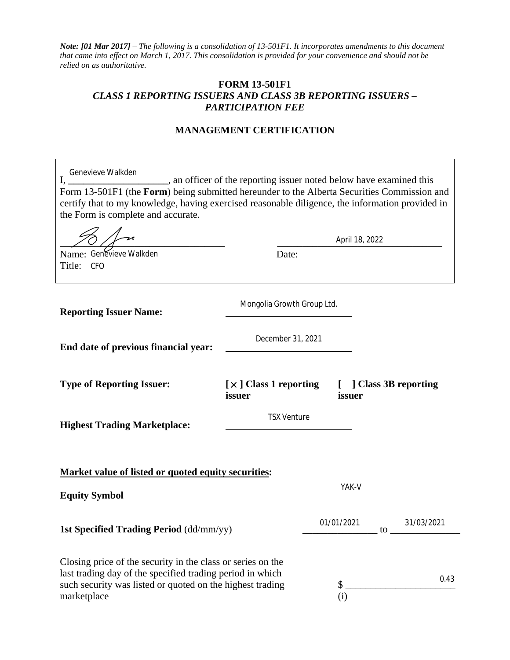*Note: [01 Mar 2017] – The following is a consolidation of 13-501F1. It incorporates amendments to this document that came into effect on March 1, 2017. This consolidation is provided for your convenience and should not be relied on as authoritative.* 

## **FORM 13-501F1**  *CLASS 1 REPORTING ISSUERS AND CLASS 3B REPORTING ISSUERS – PARTICIPATION FEE*

## **MANAGEMENT CERTIFICATION**

| Genevieve Walkden<br>I,<br>an officer of the reporting issuer noted below have examined this<br>Form 13-501F1 (the Form) being submitted hereunder to the Alberta Securities Commission and<br>certify that to my knowledge, having exercised reasonable diligence, the information provided in<br>the Form is complete and accurate. |                                                                       |            |                        |
|---------------------------------------------------------------------------------------------------------------------------------------------------------------------------------------------------------------------------------------------------------------------------------------------------------------------------------------|-----------------------------------------------------------------------|------------|------------------------|
|                                                                                                                                                                                                                                                                                                                                       | April 18, 2022                                                        |            |                        |
| Name: Genevieve Walkden<br>Title: CFO                                                                                                                                                                                                                                                                                                 | Date:                                                                 |            |                        |
| <b>Reporting Issuer Name:</b>                                                                                                                                                                                                                                                                                                         | Mongolia Growth Group Ltd.                                            |            |                        |
| End date of previous financial year:                                                                                                                                                                                                                                                                                                  | December 31, 2021                                                     |            |                        |
| <b>Type of Reporting Issuer:</b>                                                                                                                                                                                                                                                                                                      | $\left[\right.\times\right.\left.\right]$ Class 1 reporting<br>issuer | issuer     | [ ] Class 3B reporting |
| <b>Highest Trading Marketplace:</b>                                                                                                                                                                                                                                                                                                   | <b>TSX Venture</b>                                                    |            |                        |
| <b>Market value of listed or quoted equity securities:</b><br><b>Equity Symbol</b>                                                                                                                                                                                                                                                    |                                                                       | YAK-V      |                        |
| 1st Specified Trading Period (dd/mm/yy)                                                                                                                                                                                                                                                                                               |                                                                       | 01/01/2021 | 31/03/2021<br>to       |
| Closing price of the security in the class or series on the<br>last trading day of the specified trading period in which<br>such security was listed or quoted on the highest trading<br>marketplace                                                                                                                                  |                                                                       | \$<br>(i)  | 0.43                   |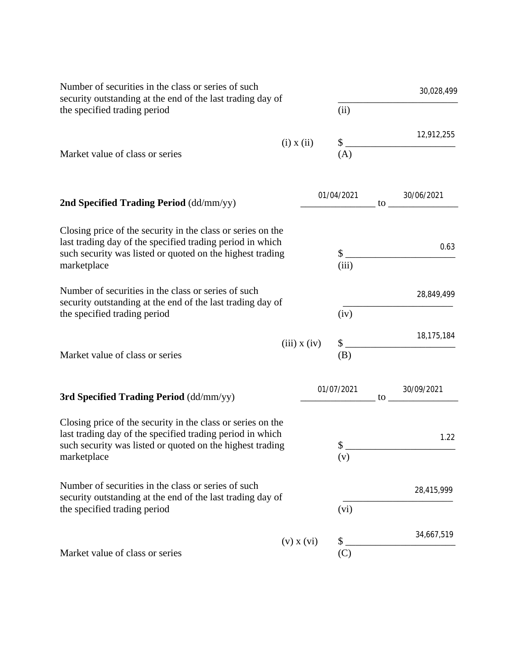| Number of securities in the class or series of such<br>security outstanding at the end of the last trading day of<br>the specified trading period                                                    |                  |                         | 30,028,499 |            |  |  |
|------------------------------------------------------------------------------------------------------------------------------------------------------------------------------------------------------|------------------|-------------------------|------------|------------|--|--|
|                                                                                                                                                                                                      |                  | (ii)                    |            |            |  |  |
|                                                                                                                                                                                                      | $(i)$ x $(ii)$   | $\$\,$                  |            | 12,912,255 |  |  |
| Market value of class or series                                                                                                                                                                      |                  | (A)                     |            |            |  |  |
| 2nd Specified Trading Period (dd/mm/yy)                                                                                                                                                              |                  | 01/04/2021              | to         | 30/06/2021 |  |  |
| Closing price of the security in the class or series on the<br>last trading day of the specified trading period in which<br>such security was listed or quoted on the highest trading<br>marketplace |                  | $\mathbb{S}$ .<br>(iii) |            | 0.63       |  |  |
| Number of securities in the class or series of such<br>security outstanding at the end of the last trading day of<br>the specified trading period                                                    |                  | (iv)                    |            | 28,849,499 |  |  |
| Market value of class or series                                                                                                                                                                      | $(iii)$ x $(iv)$ | $\frac{1}{2}$<br>(B)    |            | 18,175,184 |  |  |
| 3rd Specified Trading Period (dd/mm/yy)                                                                                                                                                              |                  | 01/07/2021              | to         | 30/09/2021 |  |  |
| Closing price of the security in the class or series on the<br>last trading day of the specified trading period in which<br>such security was listed or quoted on the highest trading<br>marketplace |                  | (v)                     |            | 1.22       |  |  |
| Number of securities in the class or series of such<br>security outstanding at the end of the last trading day of<br>the specified trading period                                                    |                  | (vi)                    |            | 28,415,999 |  |  |
|                                                                                                                                                                                                      | $(v)$ x $(vi)$   | \$                      |            | 34,667,519 |  |  |
| Market value of class or series                                                                                                                                                                      |                  | (C)                     |            |            |  |  |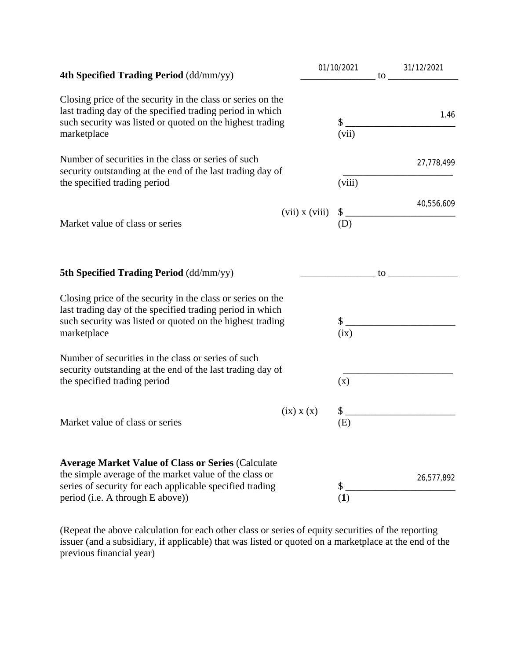| 4th Specified Trading Period (dd/mm/yy)                                                                                                                                                                             | 01/10/2021                |        | 31/12/2021<br>$\frac{31/12}{202}$ |
|---------------------------------------------------------------------------------------------------------------------------------------------------------------------------------------------------------------------|---------------------------|--------|-----------------------------------|
| Closing price of the security in the class or series on the<br>last trading day of the specified trading period in which<br>such security was listed or quoted on the highest trading<br>marketplace                | (vii)                     |        | 1.46<br>$\frac{1}{2}$             |
| Number of securities in the class or series of such<br>security outstanding at the end of the last trading day of<br>the specified trading period                                                                   | (viii)                    |        | 27,778,499                        |
| Market value of class or series                                                                                                                                                                                     | $(vii)$ x $(viii)$<br>(D) |        | 40,556,609<br>$\frac{1}{2}$       |
| <b>5th Specified Trading Period (dd/mm/yy)</b>                                                                                                                                                                      |                           |        |                                   |
| Closing price of the security in the class or series on the<br>last trading day of the specified trading period in which<br>such security was listed or quoted on the highest trading<br>marketplace                | (ix)                      | $\sim$ |                                   |
| Number of securities in the class or series of such<br>security outstanding at the end of the last trading day of<br>the specified trading period                                                                   | (x)                       |        |                                   |
| $(ix)$ x $(x)$<br>Market value of class or series                                                                                                                                                                   | $\mathbb{S}^-$<br>(E)     |        |                                   |
| <b>Average Market Value of Class or Series (Calculate</b><br>the simple average of the market value of the class or<br>series of security for each applicable specified trading<br>period (i.e. A through E above)) | \$<br>(1)                 |        | 26,577,892                        |

(Repeat the above calculation for each other class or series of equity securities of the reporting issuer (and a subsidiary, if applicable) that was listed or quoted on a marketplace at the end of the previous financial year)